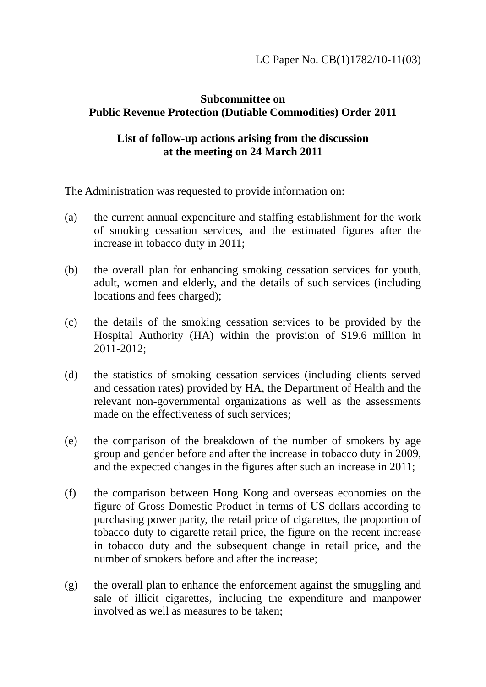## **Subcommittee on Public Revenue Protection (Dutiable Commodities) Order 2011**

## **List of follow-up actions arising from the discussion at the meeting on 24 March 2011**

The Administration was requested to provide information on:

- (a) the current annual expenditure and staffing establishment for the work of smoking cessation services, and the estimated figures after the increase in tobacco duty in 2011;
- (b) the overall plan for enhancing smoking cessation services for youth, adult, women and elderly, and the details of such services (including locations and fees charged);
- (c) the details of the smoking cessation services to be provided by the Hospital Authority (HA) within the provision of \$19.6 million in 2011-2012;
- (d) the statistics of smoking cessation services (including clients served and cessation rates) provided by HA, the Department of Health and the relevant non-governmental organizations as well as the assessments made on the effectiveness of such services;
- (e) the comparison of the breakdown of the number of smokers by age group and gender before and after the increase in tobacco duty in 2009, and the expected changes in the figures after such an increase in 2011;
- (f) the comparison between Hong Kong and overseas economies on the figure of Gross Domestic Product in terms of US dollars according to purchasing power parity, the retail price of cigarettes, the proportion of tobacco duty to cigarette retail price, the figure on the recent increase in tobacco duty and the subsequent change in retail price, and the number of smokers before and after the increase;
- (g) the overall plan to enhance the enforcement against the smuggling and sale of illicit cigarettes, including the expenditure and manpower involved as well as measures to be taken;